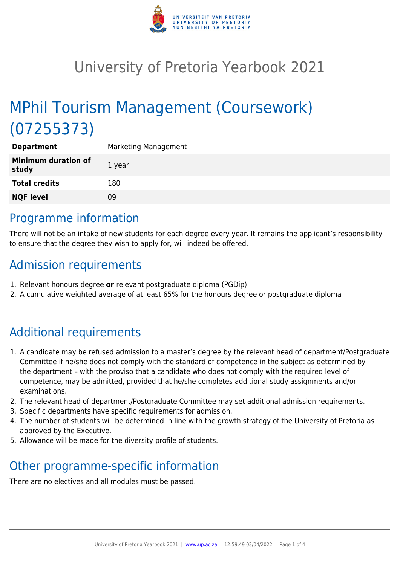

# University of Pretoria Yearbook 2021

# MPhil Tourism Management (Coursework) (07255373)

| <b>Department</b>                   | Marketing Management |
|-------------------------------------|----------------------|
| <b>Minimum duration of</b><br>study | 1 year               |
| <b>Total credits</b>                | 180                  |
| <b>NQF level</b>                    | 09                   |
|                                     |                      |

# Programme information

There will not be an intake of new students for each degree every year. It remains the applicant's responsibility to ensure that the degree they wish to apply for, will indeed be offered.

# Admission requirements

- 1. Relevant honours degree **or** relevant postgraduate diploma (PGDip)
- 2. A cumulative weighted average of at least 65% for the honours degree or postgraduate diploma

# Additional requirements

- 1. A candidate may be refused admission to a master's degree by the relevant head of department/Postgraduate Committee if he/she does not comply with the standard of competence in the subject as determined by the department – with the proviso that a candidate who does not comply with the required level of competence, may be admitted, provided that he/she completes additional study assignments and/or examinations.
- 2. The relevant head of department/Postgraduate Committee may set additional admission requirements.
- 3. Specific departments have specific requirements for admission.
- 4. The number of students will be determined in line with the growth strategy of the University of Pretoria as approved by the Executive.
- 5. Allowance will be made for the diversity profile of students.

# Other programme-specific information

There are no electives and all modules must be passed.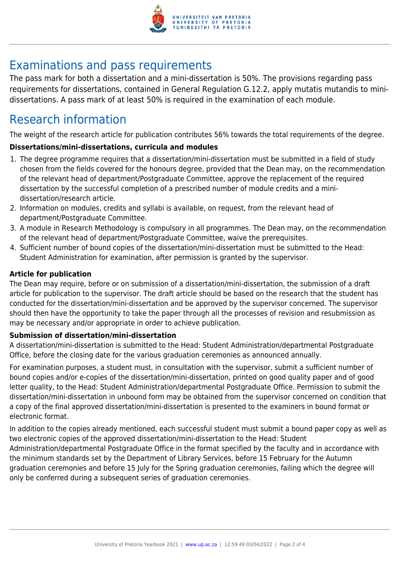

# Examinations and pass requirements

The pass mark for both a dissertation and a mini-dissertation is 50%. The provisions regarding pass requirements for dissertations, contained in General Regulation G.12.2, apply mutatis mutandis to minidissertations. A pass mark of at least 50% is required in the examination of each module.

# Research information

The weight of the research article for publication contributes 56% towards the total requirements of the degree.

# **Dissertations/mini-dissertations, curricula and modules**

- 1. The degree programme requires that a dissertation/mini-dissertation must be submitted in a field of study chosen from the fields covered for the honours degree, provided that the Dean may, on the recommendation of the relevant head of department/Postgraduate Committee, approve the replacement of the required dissertation by the successful completion of a prescribed number of module credits and a minidissertation/research article.
- 2. Information on modules, credits and syllabi is available, on request, from the relevant head of department/Postgraduate Committee.
- 3. A module in Research Methodology is compulsory in all programmes. The Dean may, on the recommendation of the relevant head of department/Postgraduate Committee, waive the prerequisites.
- 4. Sufficient number of bound copies of the dissertation/mini-dissertation must be submitted to the Head: Student Administration for examination, after permission is granted by the supervisor.

# **Article for publication**

The Dean may require, before or on submission of a dissertation/mini-dissertation, the submission of a draft article for publication to the supervisor. The draft article should be based on the research that the student has conducted for the dissertation/mini-dissertation and be approved by the supervisor concerned. The supervisor should then have the opportunity to take the paper through all the processes of revision and resubmission as may be necessary and/or appropriate in order to achieve publication.

## **Submission of dissertation/mini-dissertation**

A dissertation/mini-dissertation is submitted to the Head: Student Administration/departmental Postgraduate Office, before the closing date for the various graduation ceremonies as announced annually.

For examination purposes, a student must, in consultation with the supervisor, submit a sufficient number of bound copies and/or e-copies of the dissertation/mini-dissertation, printed on good quality paper and of good letter quality, to the Head: Student Administration/departmental Postgraduate Office. Permission to submit the dissertation/mini-dissertation in unbound form may be obtained from the supervisor concerned on condition that a copy of the final approved dissertation/mini-dissertation is presented to the examiners in bound format or electronic format.

In addition to the copies already mentioned, each successful student must submit a bound paper copy as well as two electronic copies of the approved dissertation/mini-dissertation to the Head: Student Administration/departmental Postgraduate Office in the format specified by the faculty and in accordance with the minimum standards set by the Department of Library Services, before 15 February for the Autumn graduation ceremonies and before 15 July for the Spring graduation ceremonies, failing which the degree will only be conferred during a subsequent series of graduation ceremonies.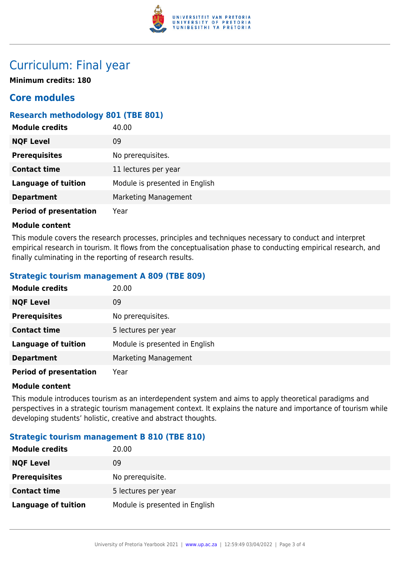

# Curriculum: Final year

**Minimum credits: 180**

# **Core modules**

# **Research methodology 801 (TBE 801)**

| <b>Module credits</b>         | 40.00                          |
|-------------------------------|--------------------------------|
| <b>NQF Level</b>              | 09                             |
| <b>Prerequisites</b>          | No prerequisites.              |
| <b>Contact time</b>           | 11 lectures per year           |
| <b>Language of tuition</b>    | Module is presented in English |
| <b>Department</b>             | Marketing Management           |
| <b>Period of presentation</b> | Year                           |

## **Module content**

This module covers the research processes, principles and techniques necessary to conduct and interpret empirical research in tourism. It flows from the conceptualisation phase to conducting empirical research, and finally culminating in the reporting of research results.

## **Strategic tourism management A 809 (TBE 809)**

| <b>Module credits</b>         | 20.00                          |
|-------------------------------|--------------------------------|
| <b>NQF Level</b>              | 09                             |
| <b>Prerequisites</b>          | No prerequisites.              |
| <b>Contact time</b>           | 5 lectures per year            |
| <b>Language of tuition</b>    | Module is presented in English |
| <b>Department</b>             | Marketing Management           |
| <b>Period of presentation</b> | Year                           |

### **Module content**

This module introduces tourism as an interdependent system and aims to apply theoretical paradigms and perspectives in a strategic tourism management context. It explains the nature and importance of tourism while developing students' holistic, creative and abstract thoughts.

## **Strategic tourism management B 810 (TBE 810)**

| <b>Module credits</b> | 20.00                          |
|-----------------------|--------------------------------|
| <b>NQF Level</b>      | 09                             |
| <b>Prerequisites</b>  | No prerequisite.               |
| <b>Contact time</b>   | 5 lectures per year            |
| Language of tuition   | Module is presented in English |